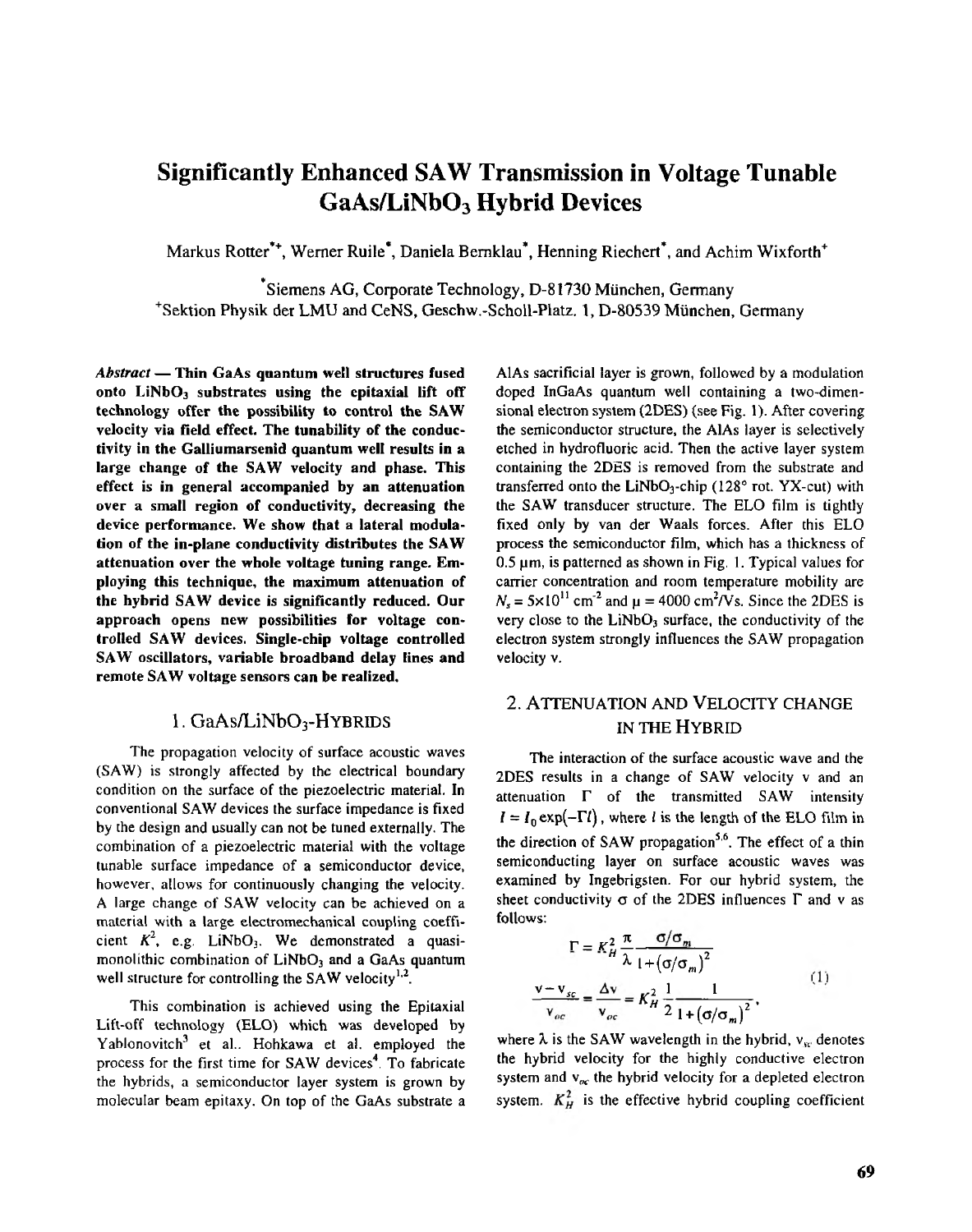# **Significantly Enhanced SAW Transmission in Voltage Tunable GaAs/LiNb03Hybrid Devices**

Markus Rotter", Werner Ruile', Daniela Bernklau', Henning Riechert', and Achim Wixforth'

Siemens AG, Corporate Technology, D-81730 München, Germany 'Sektion Physik der LMU and CeNS, Geschw.-Scholl-Platz.**1,** D-80539 Munchen, Germany

 $Abstract$ -Thin GaAs quantum well structures fused **onto LiNb03 substrates using the epitaxial lift off technology offer the possibility to control the SAW velocity via field effect. The tunability of the conductivity in the Galliumarsenidquantum well results in a** large change of the SAW velocity and phase. This **effect is in generalaccompanied by anattenuation over** a small region of conductivity, decreasing the **device performance. We showthat a lateral modulation of the in-plane conductivity distributes the SAW attenuation over the whole voltage tuning range. Emthe hybrid SAWdevice is significantly reduced. Our ploying this technique, the maximum attenuation of** approach opens new possibilities for voltage con**trolled** SAW devices. Single-chip voltage controlled **SAW oscillators, variable broadband delay lines and remote** SAW voltage sensors can be realized.

### 1. GaAs/LiNbO<sub>3</sub>-HYBRIDS

(SAW) is strongly affected by the electrical boundary The propagation velocity of surface acoustic waves condition on the surface of the piezoelectric material. In conventional SAW devices the surface impedance is fixed by the design and usually can not be tuned externally. The combination of a piezoelectric material with the voltage tunable surface impedance of a semiconductor device, however, allows for continuously changing the velocity. Alarge change of SAW velocity canbe achieved on a material with a large electromechanical coupling coefficient  $K^2$ , e.g. LiNbO<sub>3</sub>. We demonstrated a quasimonolithic combination of  $LiNbO<sub>3</sub>$  and a GaAs quantum well structure for controlling the SAW velocity<sup>1,2</sup>.

This combination is achieved using the Epitaxial Lift-off technology (ELO) which was developed by process for the first time for SAW devices<sup>4</sup>. To fabricate Yablonovitch<sup>3</sup> et al.. Hohkawa et al. employed the molecular beam epitaxy. On top of the **GaAs** substrate a the hybrids, a semiconductor layer system is grown by **AlAs** sacrificial layer is grown, followed by a modulation doped InGaAs quantum well containing a two-dimensional electron system (2DES)(see Fig. **l).** After covering etched in hydrofluoric acid. Then the active layer system the semiconductor structure, the AlAs layer **is** selectively containing the **2DES** is removed from the substrate and transferred onto the LiNbO<sub>3</sub>-chip (128 $^{\circ}$  rot. YX-cut) with the SAW transducer structure. The ELO film is tightly fixed only by van der Waals forces. After this ELO  $0.5 \mu m$ , is patterned as shown in Fig. 1. Typical values for process the semiconductor film, which has a thickness of  $N_s = 5 \times 10^{11}$  cm<sup>-2</sup> and  $\mu = 4000$  cm<sup>2</sup>/Vs. Since the 2DES is carrier concentration and room temperature mobility are electron system strongly influences the SAW propagation very close to the  $LiNbO<sub>3</sub>$  surface, the conductivity of the velocity v.

## 2. ATTENUATION AND VELOCITY CHANGE **IN** THE HYBRID

2DES results in a change of SAW velocity v and an The interaction of the surface acoustic wave and the attenuation  $\Gamma$  of the transmitted SAW intensity  $I = I_0 \exp(-\Gamma l)$ , where *l* is the length of the ELO film in the direction of SAW propagation<sup>5,6</sup>. The effect of a thin examined by Ingebrigsten. For our hybrid system, the semiconducting layer on surface acoustic waves was follows: sheet conductivity  $\sigma$  of the 2DES influences  $\Gamma$  and v as

$$
\Gamma = K_H^2 \frac{\pi}{\lambda} \frac{\sigma/\sigma_m}{1 + (\sigma/\sigma_m)^2}
$$
  

$$
\frac{v - v_{sc}}{v_{oc}} = \frac{\Delta v}{v_{oc}} = K_H^2 \frac{1}{2} \frac{1}{1 + (\sigma/\sigma_m)^2},
$$
 (1)

where  $\lambda$  is the SAW wavelength in the hybrid,  $v_{sc}$  denotes the hybrid velocity for the highly conductive electron system and  $v_{oc}$  the hybrid velocity for a depleted electron system.  $K_H^2$  is the effective hybrid coupling coefficient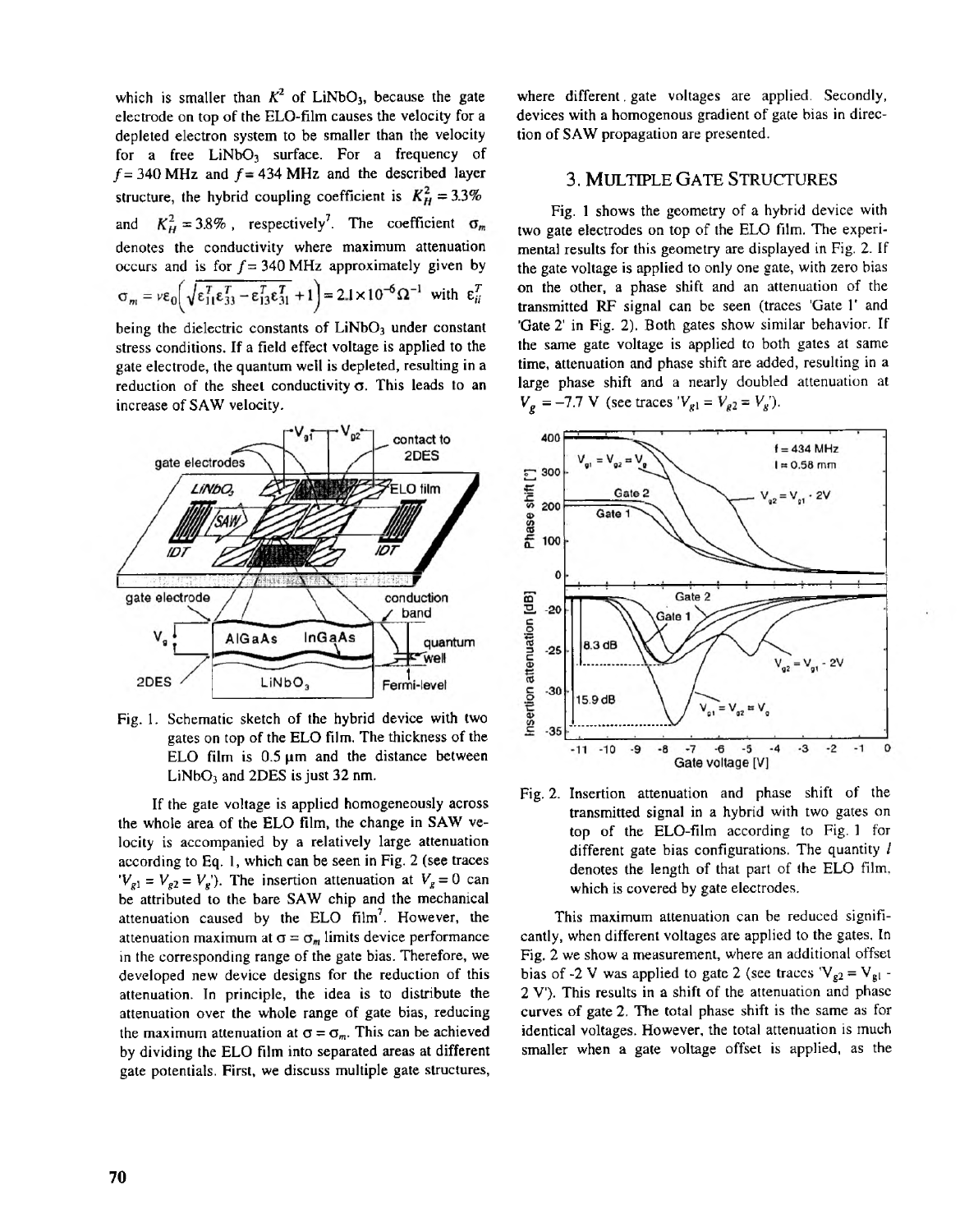which is smaller than  $K^2$  of LiNbO<sub>3</sub>, because the gate electrode on top of the ELO-film causes the velocity for a depleted electron system to be smaller than the velocity for a free  $LiNbO<sub>3</sub>$  surface. For a frequency of  $f = 340$  MHz and  $f = 434$  MHz and the described layer structure, the hybrid coupling coefficient is  $K_H^2 = 3.3\%$ and  $K_H^2 = 3.8\%$ , respectively<sup>7</sup>. The coefficient  $\sigma_m$ denotes the conductivity where maximum attenuation occurs and is for  $f = 340$  MHz approximately given by  $\sigma_m = v \varepsilon_0 \left( \sqrt{\varepsilon_{11}^T \varepsilon_{33}^T - \varepsilon_{13}^T \varepsilon_{31}^T} + 1 \right) = 2.1 \times 10^{-6} \Omega^{-1}$  with  $\varepsilon_{ii}^T$ 

being the dielectric constants of LiNbO<sub>3</sub> under constant stress conditions. **If** a field effect voltage is applied to the gate electrode, the quantum well is depleted, resulting in a reduction of the sheet conductivity  $\sigma$ . This leads to an increase of **SAW** velocity.



Fig. 1. Schematic sketch of the hybrid device with two gates on top of the ELO film. The thickness of the ELO film is  $0.5 \mu m$  and the distance between LiNbO, and **2DES** isjust **32** nm.

the whole area of the ELO film, the change in SAW ve-If the gate voltage is applied homogeneously across locity is accompanied by a relatively large attenuation according to Eq. 1, which can be seen in Fig. **2** (see traces  $V_{g1} = V_{g2} = V_g$ . The insertion attenuation at  $V_g = 0$  can be attributed to the bare SAW chip and the mechanical attenuation caused by the ELO  $film<sup>7</sup>$ . However, the attenuation maximum at  $\sigma = \sigma_m$  limits device performance in the corresponding range of the gate bias. Therefore, we developed new device designs for the reduction of this attenuation. In principle, the idea is to distribute the attenuation over the whole range of gate bias, reducing the maximum attenuation at  $\sigma = \sigma_m$ . This can be achieved by dividing the EL0 film into separated areas at different gate potentials. First, we discuss multiple gate structures,

where different gate voltages are applied. Secondly, devices with a homogenous gradient of gate bias in direction of **SAW** propagation are presented.

#### **3.**MULTIPLE**GATE**STRUCTURES

two gate electrodes on top of the ELO film. The experi-[Fig.](#page--1-0) **[1](#page--1-0)** shows the geometry of a hybrid device with mental results for this geometry are displayed in Fig. *2.* If the gate voltage is applied to only one gate, with zero bias on the other, a phase shift and an attenuation of the transmitted RF signal canbe seen (traces'Gate **<sup>1</sup>'** and 'Gate 2' in Fig. 2). Both gates show similar behavior. If the same gate voltage is applied to both gates at same time, attenuation and phase shift are added, resulting in a large phase shift and a nearly doubled attenuation at  $V_g = -7.7$  V (see traces  $V_{g1} = V_{g2} = V_g$ ).



Fig. 2. Insertion attenuation and phase shift of the transmitted signal in a hybrid with two gates on top of the ELO-film according to Fig. [1](#page--1-0) for different gate bias configurations.The quantity *1* denotes the length of that part of the ELO film, which is covered by gate electrodes.

cantly, when different voltages are applied to the gates. In This maximum attenuation can be reduced signifi-Fig, *2* we show a measurement, where an additional offsel bias of -2 V was applied to gate 2 (see traces  $V_{g2} = V_{gl}$ . *2* V). This results in a shift of the attenuation and phase curves of gate *2.* The total phase shift is the same as for identical voltages. However, the total attenuation is much smaller when a gate voltage offset is applied, as the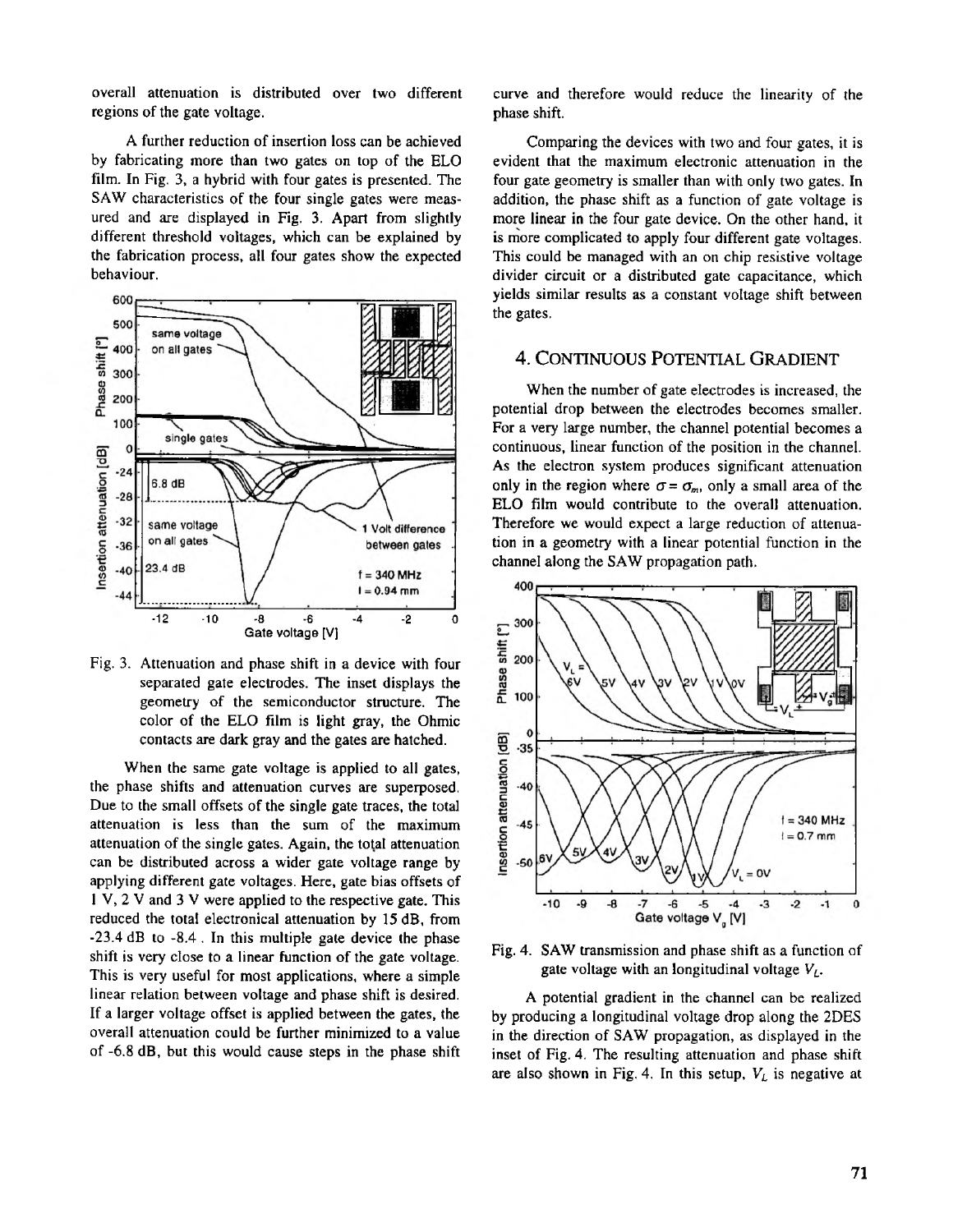overall attenuation is distributed over two different regions of the gate voltage.

by fabricating more than two gates on top of the ELO A further reduction of insertion **loss** can be achieved film. In Fig. **3,** a hybrid with four gates is presented. The ured and are displayed in Fig. 3. Apart from slightly SAW characteristics of the four single gates were measdifferent threshold voltages, which can he explained by the fabrication process, all four gates show the expected behaviour.



Fig. 3. Attenuation and phase shift in a device with four separated gate electrodes.The inset displays the geometry of the semiconductor structure. The color of the ELO film is light gray, the Ohmic contacts **are** dark gray and the gates are hatched.

When the same gate voltage is applied to all gates, the phase shifts and attenuation curves are superposed. Due to the small offsets of the single gate traces, the total attenuation is less than the sum of the maximum attenuation of the single gates. Again, the total attenuation can be distributed across a wider gate voltage range by applying different gate voltages. Here, gate bias offsets of reduced the total electronical attenuation by **15** dB, **from 1** V, *2* V and **3** V were applied tothe respective gate. This -23.4 dB to -8.4 . In this multiple gate device the phase This is very useful for most applications, where a simple shift is very close to a linear function of the gate voltage. linear relation between voltage and phase shift is desired. If a larger voltage offset is applied between the gates, the overall attenuation could he further minimized to a value of -6.8 dB, but this would cause steps in the phase shift curve and therefore would reduce the linearity of the phase shift.

evident that the maximum electronic attenuation in the Comparing the devices with two and four gates, it is four gate geometry is smaller than with only two gates. In more linear in the four gate device. On the other hand, it addition, the phase shift as a function of gate voltage is This could be managed with an on chip resistive voltage is more complicated to apply four different gate voltages. divider circuit or a distributed gate capacitance, which yields similar results as a constant voltage shift between the gates.

## **4.** CONTINUOUS POTENTIALGRADIENT

When the number of gate electrodes is increased, the potential drop between the electrodes becomes smaller. For a very large number, the channel potential becomes a continuous, linear function of the position in the channel. As the electron system produces significant attenuation only in the region where  $\sigma = \sigma_m$ , only a small area of the ELO film would contribute to the overall attenuation. Therefore we would expect a large reduction of attenuation in a geometry with a linear potential function in the channel along the SAW propagation path.



Fig. **4.** SAW transmission and phase shift as a function of gate voltage with an longitudinal voltage  $V_L$ .

A potential gradient in the channel can be realized by producing a longitudinal voltage drop along the 2DES in the direction of SAW propagation, as displayed in the inset of Fig. **4.** The resulting attenuation and phase shift are also shown in Fig. 4. In this setup,  $V_L$  is negative at